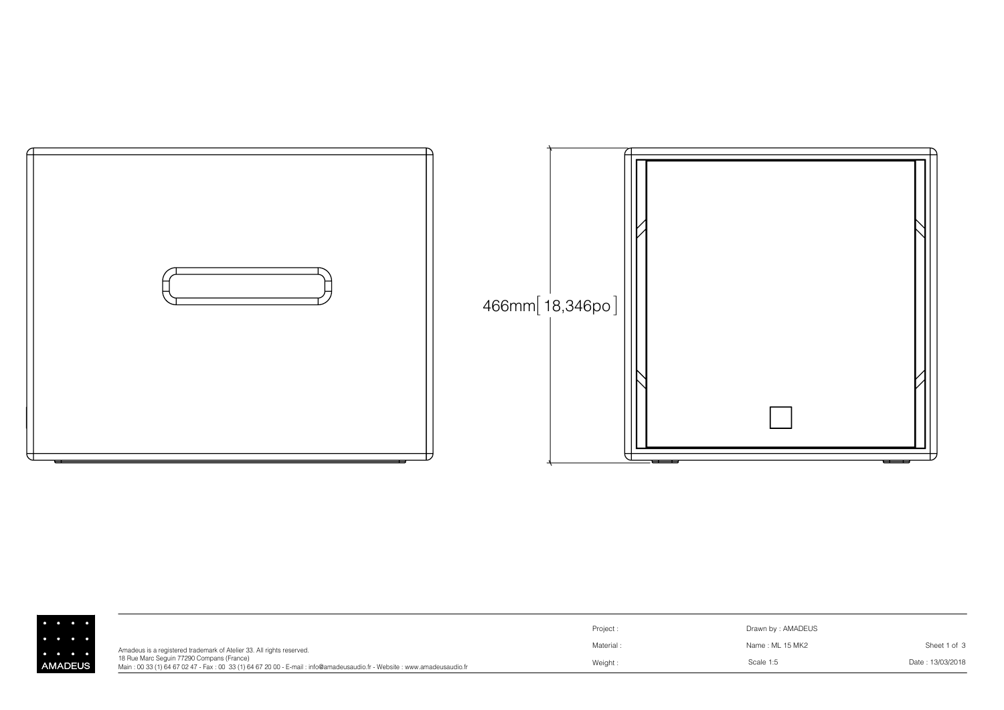

|                                     |                                                                                                                                                                     | Project:  | Drawn by: AMADEUS |                  |
|-------------------------------------|---------------------------------------------------------------------------------------------------------------------------------------------------------------------|-----------|-------------------|------------------|
| $\bullet\qquad\bullet\qquad\bullet$ | Amadeus is a registered trademark of Atelier 33. All rights reserved.                                                                                               | Material: | Name : ML 15 MK2  | Sheet 1 of 3     |
| MADEUS                              | 18 Rue Marc Seguin 77290 Compans (France)<br>Main: 00 33 (1) 64 67 02 47 - Fax: 00 33 (1) 64 67 20 00 - E-mail: info@amadeusaudio.fr - Website: www.amadeusaudio.fr | Weight:   | Scale 1:5         | Date: 13/03/2018 |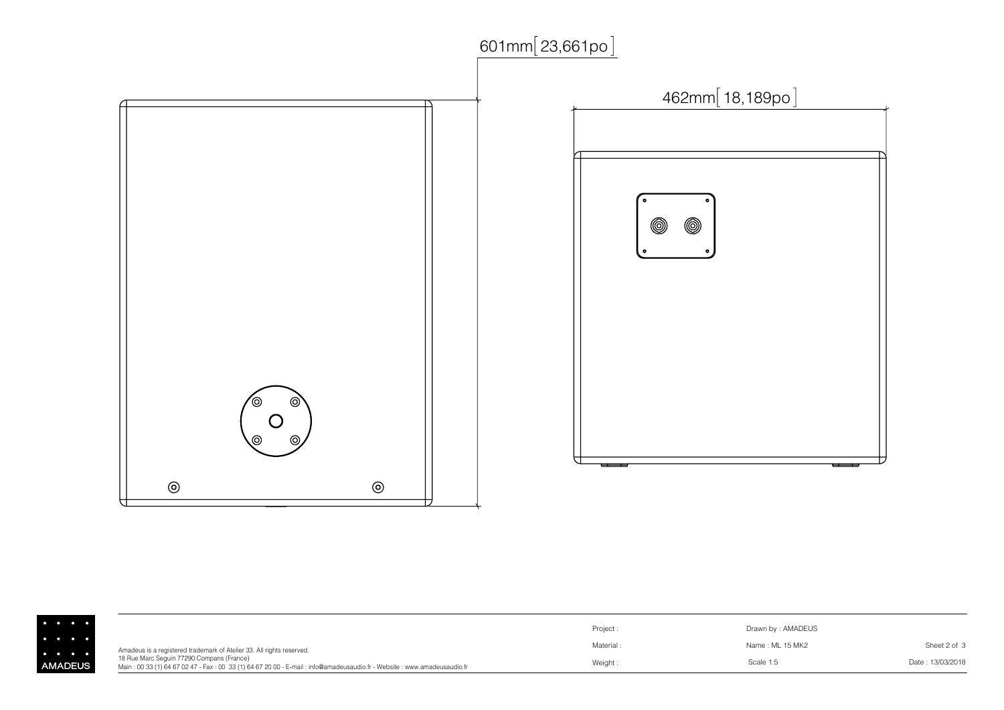

|              |                                                                                                                                                                                                                                              | Project: | Drawn by: AMADEUS |                  |
|--------------|----------------------------------------------------------------------------------------------------------------------------------------------------------------------------------------------------------------------------------------------|----------|-------------------|------------------|
|              | Amadeus is a registered trademark of Atelier 33. All rights reserved.<br>18 Rue Marc Seguin 77290 Compans (France)<br>Main: 00 33 (1) 64 67 02 47 - Fax: 00 33 (1) 64 67 20 00 - E-mail: info@amadeusaudio.fr - Website: www.amadeusaudio.fr | Material | Name : ML 15 MK2  | Sheet 2 of 3     |
| <b>ADEUS</b> |                                                                                                                                                                                                                                              | Weight:  | Scale 1:5         | Date: 13/03/2018 |

 $\ddot{\cdot}$ <br> $\ddot{\cdot}$ <br> $\ddot{\cdot}$ <br> $\ddot{\cdot}$